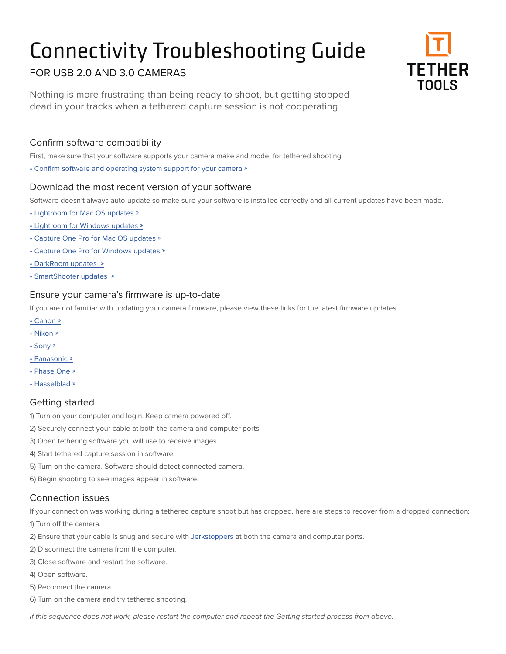# Connectivity Troubleshooting Guide



# FOR USB 2.0 AND 3.0 CAMERAS

Nothing is more frustrating than being ready to shoot, but getting stopped dead in your tracks when a tethered capture session is not cooperating.

### Confirm software compatibility

First, make sure that your software supports your camera make and model for tethered shooting.

[• Confirm software and operating system support for your camera »](https://www.tethertools.com/tethering-software/)

#### Download the most recent version of your software

Software doesn't always auto-update so make sure your software is installed correctly and all current updates have been made.

- [Lightroom for Mac OS updates »](http://www.adobe.com/support/downloads/product.jsp?product=113&platform=Macintosh)
- [Lightroom for Windows updates »](http://www.adobe.com/support/downloads/product.jsp?product=113&platform=Windows)
- [Capture One Pro for Mac OS updates »](https://www.phaseone.com/en/Download.aspx)
- [Capture One Pro for Windows updates »](https://www.phaseone.com/en/Download.aspx)
- [DarkRoom updates »](http://www.darkroomsoftware.com/support/downloads/)
- [SmartShooter updates »](https://kuvacode.com/download)

#### Ensure your camera's firmware is up-to-date

If you are not familiar with updating your camera firmware, please view these links for the latest firmware updates:

- [Canon »](https://www.usa.canon.com/internet/portal/us/home/support/professional-model-firmware-updates/)
- [Nikon »](http://downloadcenter.nikonimglib.com/en/index.html)
- [Sony »](https://esupport.sony.com/US/p/select-system.pl?DIRECTOR=DRIVER&PRODTYPE=76)
- [Panasonic](http://av.jpn.support.panasonic.com/support/global/cs/dsc/) »
- [Phase One »](https://www.phaseone.com/en/Download/Camera-Firmware.aspx)
- [Hasselblad »](http://www.hasselblad.com/support/manuals/software-current)

#### Getting started

1) Turn on your computer and login. Keep camera powered off.

- 2) Securely connect your cable at both the camera and computer ports.
- 3) Open tethering software you will use to receive images.
- 4) Start tethered capture session in software.
- 5) Turn on the camera. Software should detect connected camera.
- 6) Begin shooting to see images appear in software.

#### Connection issues

If your connection was working during a tethered capture shoot but has dropped, here are steps to recover from a dropped connection:

1) Turn off the camera.

- 2) Ensure that your cable is snug and secure with [Jerkstoppers](https://www.tethertools.com/product/jerkstopper-tethering-kit/) at both the camera and computer ports.
- 2) Disconnect the camera from the computer.
- 3) Close software and restart the software.
- 4) Open software.
- 5) Reconnect the camera.
- 6) Turn on the camera and try tethered shooting.

*If this sequence does not work, please restart the computer and repeat the Getting started process from above.*